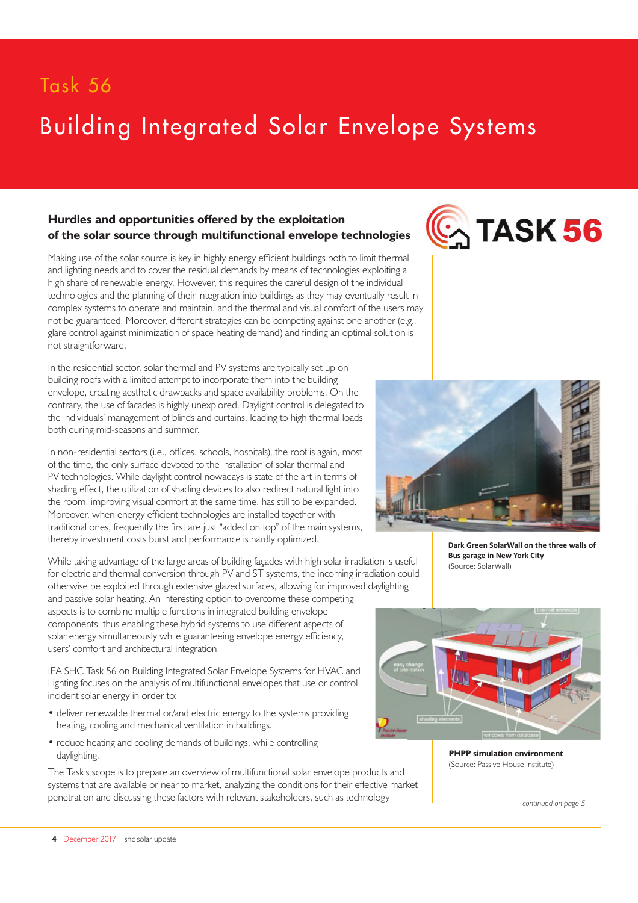## Task 56

# Building Integrated Solar Envelope Systems

### **Hurdles and opportunities offered by the exploitation of the solar source through multifunctional envelope technologies**

Making use of the solar source is key in highly energy efficient buildings both to limit thermal and lighting needs and to cover the residual demands by means of technologies exploiting a high share of renewable energy. However, this requires the careful design of the individual technologies and the planning of their integration into buildings as they may eventually result in complex systems to operate and maintain, and the thermal and visual comfort of the users may not be guaranteed. Moreover, different strategies can be competing against one another (e.g., glare control against minimization of space heating demand) and finding an optimal solution is not straightforward.

In the residential sector, solar thermal and PV systems are typically set up on building roofs with a limited attempt to incorporate them into the building envelope, creating aesthetic drawbacks and space availability problems. On the contrary, the use of facades is highly unexplored. Daylight control is delegated to the individuals' management of blinds and curtains, leading to high thermal loads both during mid-seasons and summer.

In non-residential sectors (i.e., offices, schools, hospitals), the roof is again, most of the time, the only surface devoted to the installation of solar thermal and PV technologies. While daylight control nowadays is state of the art in terms of shading effect, the utilization of shading devices to also redirect natural light into the room, improving visual comfort at the same time, has still to be expanded. Moreover, when energy efficient technologies are installed together with traditional ones, frequently the first are just "added on top" of the main systems, thereby investment costs burst and performance is hardly optimized.

While taking advantage of the large areas of building façades with high solar irradiation is useful for electric and thermal conversion through PV and ST systems, the incoming irradiation could otherwise be exploited through extensive glazed surfaces, allowing for improved daylighting and passive solar heating. An interesting option to overcome these competing aspects is to combine multiple functions in integrated building envelope components, thus enabling these hybrid systems to use different aspects of solar energy simultaneously while guaranteeing envelope energy efficiency, users' comfort and architectural integration.

IEA SHC Task 56 on Building Integrated Solar Envelope Systems for HVAC and Lighting focuses on the analysis of multifunctional envelopes that use or control incident solar energy in order to:

- deliver renewable thermal or/and electric energy to the systems providing heating, cooling and mechanical ventilation in buildings.
- reduce heating and cooling demands of buildings, while controlling daylighting.

The Task's scope is to prepare an overview of multifunctional solar envelope products and systems that are available or near to market, analyzing the conditions for their effective market penetration and discussing these factors with relevant stakeholders, such as technology





**Dark Green SolarWall on the three walls of Bus garage in New York City**  (Source: SolarWall)



**PHPP simulation environment**  (Source: Passive House Institute)

*continued on page 5*